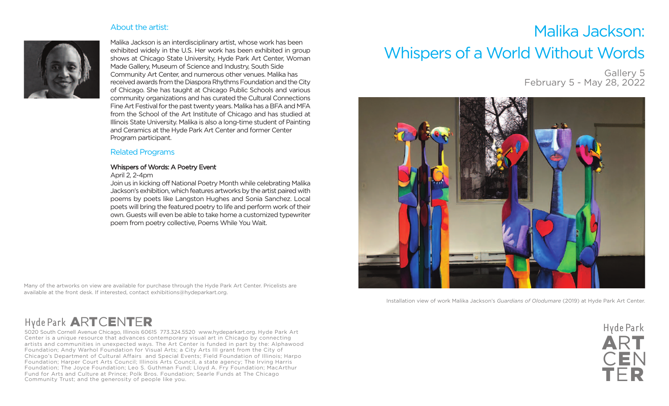### About the artist:



Malika Jackson is an interdisciplinary artist, whose work has been exhibited widely in the U.S. Her work has been exhibited in group shows at Chicago State University, Hyde Park Art Center, Woman Made Gallery, Museum of Science and Industry, South Side Community Art Center, and numerous other venues. Malika has received awards from the Diaspora Rhythms Foundation and the City of Chicago. She has taught at Chicago Public Schools and various community organizations and has curated the Cultural Connections Fine Art Festival for the past twenty years. Malika has a BFA and MFA from the School of the Art Institute of Chicago and has studied at Illinois State University. Malika is also a long-time student of Painting and Ceramics at the Hyde Park Art Center and former Center Program participant.

## Related Programs

#### Whispers of Words: A Poetry Event

#### April 2, 2-4pm

Join us in kicking off National Poetry Month while celebrating Malika Jackson's exhibition, which features artworks by the artist paired with poems by poets like Langston Hughes and Sonia Sanchez. Local poets will bring the featured poetry to life and perform work of their own. Guests will even be able to take home a customized typewriter poem from poetry collective, Poems While You Wait.

Many of the artworks on view are available for purchase through the Hyde Park Art Center. Pricelists are available at the front desk. If interested, contact exhibitions@hydeparkart.org.

# Malika Jackson: Whispers of a World Without Words

Gallery 5 February 5 - May 28, 2022



Installation view of work Malika Jackson's *Guardians of Olodumare* (2019) at Hyde Park Art Center.

# Hyde Park **A**R**T**C**E**N**T**E**R**

5020 South Cornell Avenue Chicago, Illinois 60615 773.324.5520 www.hydeparkart.org. Hyde Park Art Center is a unique resource that advances contemporary visual art in Chicago by connecting artists and communities in unexpected ways. The Art Center is funded in part by the: Alphawood Foundation; Andy Warhol Foundation for Visual Arts; a City Arts III grant from the City of Chicago's Department of Cultural Affairs and Special Events; Field Foundation of Illinois; Harpo Foundation; Harper Court Arts Council; Illinois Arts Council, a state agency; The Irving Harris Foundation; The Joyce Foundation; Leo S. Guthman Fund; Lloyd A. Fry Foundation; MacArthur Fund for Arts and Culture at Prince; Polk Bros. Foundation; Searle Funds at The Chicago Community Trust; and the generosity of people like you.

**A**R**T** C**E**N **T**E**R** Hyde Park